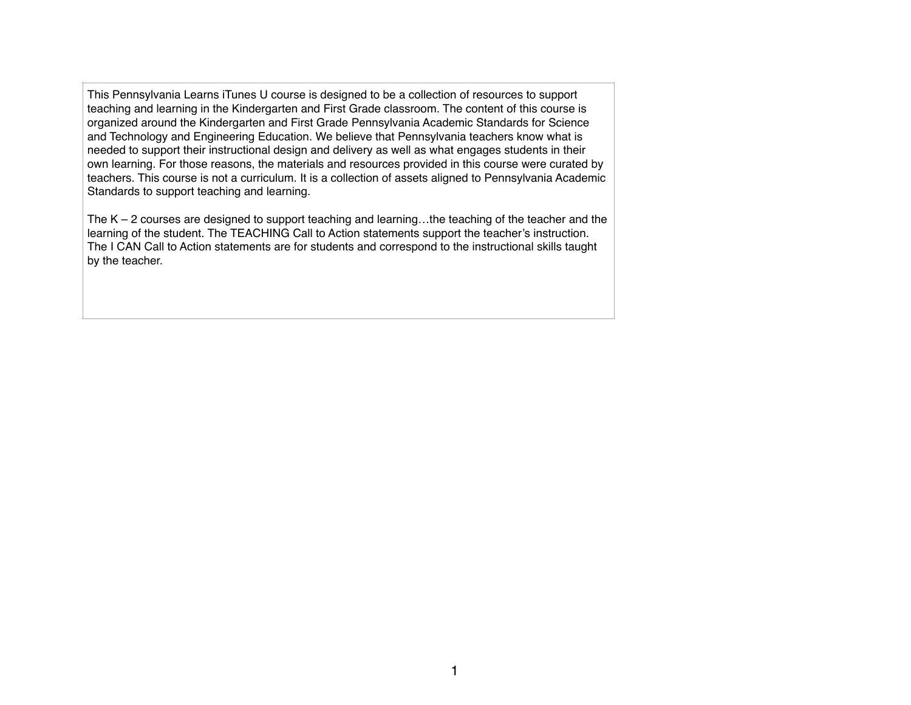This Pennsylvania Learns iTunes U course is designed to be a collection of resources to support teaching and learning in the Kindergarten and First Grade classroom. The content of this course is organized around the Kindergarten and First Grade Pennsylvania Academic Standards for Science and Technology and Engineering Education. We believe that Pennsylvania teachers know what is needed to support their instructional design and delivery as well as what engages students in their own learning. For those reasons, the materials and resources provided in this course were curated by teachers. This course is not a curriculum. It is a collection of assets aligned to Pennsylvania Academic Standards to support teaching and learning.

The  $K - 2$  courses are designed to support teaching and learning... the teaching of the teacher and the learning of the student. The TEACHING Call to Action statements support the teacher's instruction. The I CAN Call to Action statements are for students and correspond to the instructional skills taught by the teacher.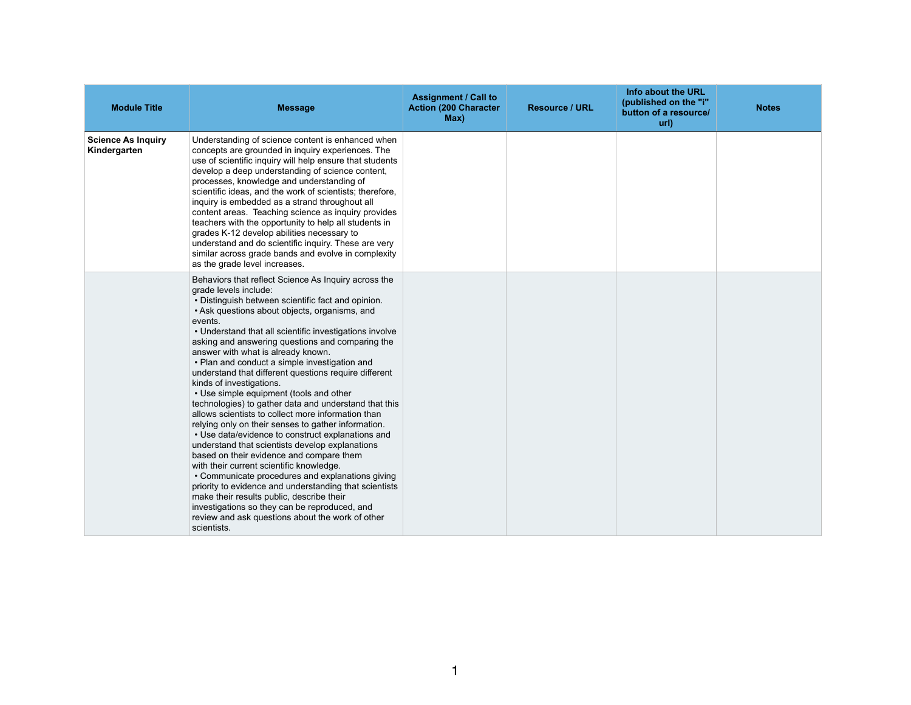| <b>Module Title</b>                       | <b>Message</b>                                                                                                                                                                                                                                                                                                                                                                                                                                                                                                                                                                                                                                                                                                                                                                                                                                                                                                                                                                                                                                                                                                                                                                             | <b>Assignment / Call to</b><br><b>Action (200 Character</b><br>Max) | <b>Resource / URL</b> | Info about the URL<br>(published on the "i"<br>button of a resource/<br>url) | <b>Notes</b> |
|-------------------------------------------|--------------------------------------------------------------------------------------------------------------------------------------------------------------------------------------------------------------------------------------------------------------------------------------------------------------------------------------------------------------------------------------------------------------------------------------------------------------------------------------------------------------------------------------------------------------------------------------------------------------------------------------------------------------------------------------------------------------------------------------------------------------------------------------------------------------------------------------------------------------------------------------------------------------------------------------------------------------------------------------------------------------------------------------------------------------------------------------------------------------------------------------------------------------------------------------------|---------------------------------------------------------------------|-----------------------|------------------------------------------------------------------------------|--------------|
| <b>Science As Inquiry</b><br>Kindergarten | Understanding of science content is enhanced when<br>concepts are grounded in inquiry experiences. The<br>use of scientific inquiry will help ensure that students<br>develop a deep understanding of science content,<br>processes, knowledge and understanding of<br>scientific ideas, and the work of scientists; therefore,<br>inquiry is embedded as a strand throughout all<br>content areas. Teaching science as inquiry provides<br>teachers with the opportunity to help all students in<br>grades K-12 develop abilities necessary to<br>understand and do scientific inquiry. These are very<br>similar across grade bands and evolve in complexity<br>as the grade level increases.                                                                                                                                                                                                                                                                                                                                                                                                                                                                                            |                                                                     |                       |                                                                              |              |
|                                           | Behaviors that reflect Science As Inquiry across the<br>grade levels include:<br>• Distinguish between scientific fact and opinion.<br>• Ask questions about objects, organisms, and<br>events.<br>• Understand that all scientific investigations involve<br>asking and answering questions and comparing the<br>answer with what is already known.<br>• Plan and conduct a simple investigation and<br>understand that different questions require different<br>kinds of investigations.<br>• Use simple equipment (tools and other<br>technologies) to gather data and understand that this<br>allows scientists to collect more information than<br>relying only on their senses to gather information.<br>• Use data/evidence to construct explanations and<br>understand that scientists develop explanations<br>based on their evidence and compare them<br>with their current scientific knowledge.<br>• Communicate procedures and explanations giving<br>priority to evidence and understanding that scientists<br>make their results public, describe their<br>investigations so they can be reproduced, and<br>review and ask questions about the work of other<br>scientists. |                                                                     |                       |                                                                              |              |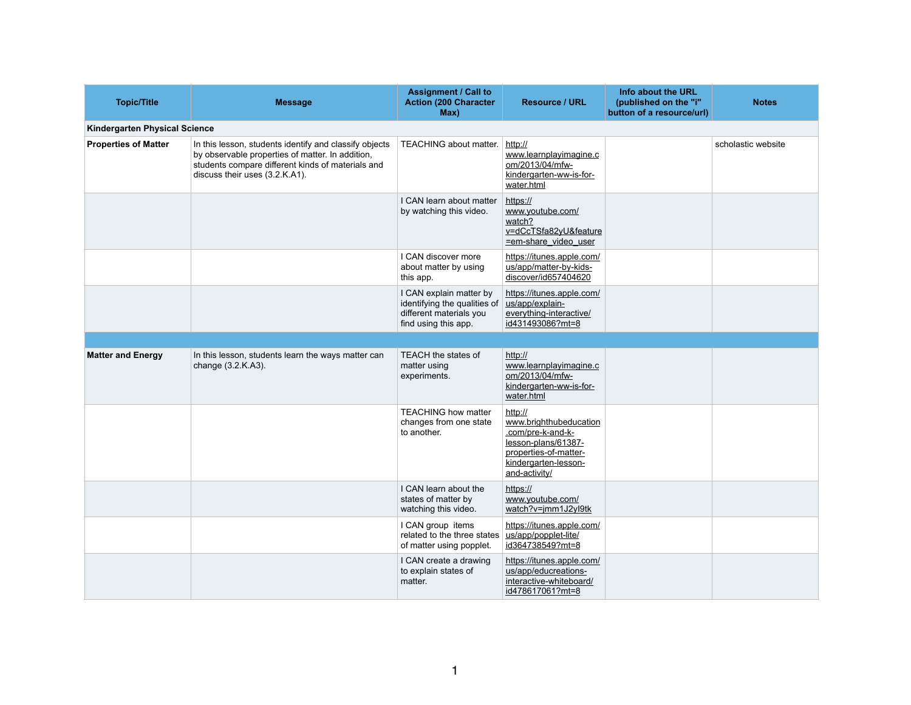| <b>Topic/Title</b>                   | <b>Message</b>                                                                                                                                                                                    | <b>Assignment / Call to</b><br><b>Action (200 Character</b><br>Max)                                        | <b>Resource / URL</b>                                                                                                                           | Info about the URL<br>(published on the "i"<br>button of a resource/url) | <b>Notes</b>       |
|--------------------------------------|---------------------------------------------------------------------------------------------------------------------------------------------------------------------------------------------------|------------------------------------------------------------------------------------------------------------|-------------------------------------------------------------------------------------------------------------------------------------------------|--------------------------------------------------------------------------|--------------------|
| <b>Kindergarten Physical Science</b> |                                                                                                                                                                                                   |                                                                                                            |                                                                                                                                                 |                                                                          |                    |
| <b>Properties of Matter</b>          | In this lesson, students identify and classify objects<br>by observable properties of matter. In addition,<br>students compare different kinds of materials and<br>discuss their uses (3.2.K.A1). | <b>TEACHING about matter.</b>                                                                              | http://<br>www.learnplayimagine.c<br>om/2013/04/mfw-<br>kindergarten-ww-is-for-<br>water.html                                                   |                                                                          | scholastic website |
|                                      |                                                                                                                                                                                                   | I CAN learn about matter<br>by watching this video.                                                        | https://<br>www.youtube.com/<br>watch?<br>v=dCcTSfa82yU&feature<br>=em-share_video_user                                                         |                                                                          |                    |
|                                      |                                                                                                                                                                                                   | I CAN discover more<br>about matter by using<br>this app.                                                  | https://itunes.apple.com/<br>us/app/matter-by-kids-<br>discover/id657404620                                                                     |                                                                          |                    |
|                                      |                                                                                                                                                                                                   | I CAN explain matter by<br>identifying the qualities of<br>different materials you<br>find using this app. | https://itunes.apple.com/<br>us/app/explain-<br>everything-interactive/<br>id431493086?mt=8                                                     |                                                                          |                    |
|                                      |                                                                                                                                                                                                   |                                                                                                            |                                                                                                                                                 |                                                                          |                    |
| <b>Matter and Energy</b>             | In this lesson, students learn the ways matter can<br>change (3.2.K.A3).                                                                                                                          | <b>TEACH the states of</b><br>matter using<br>experiments.                                                 | http://<br>www.learnplayimagine.c<br>om/2013/04/mfw-<br>kindergarten-ww-is-for-<br>water.html                                                   |                                                                          |                    |
|                                      |                                                                                                                                                                                                   | <b>TEACHING how matter</b><br>changes from one state<br>to another.                                        | http://<br>www.brighthubeducation<br>.com/pre-k-and-k-<br>lesson-plans/61387-<br>properties-of-matter-<br>kindergarten-lesson-<br>and-activity/ |                                                                          |                    |
|                                      |                                                                                                                                                                                                   | I CAN learn about the<br>states of matter by<br>watching this video.                                       | https://<br>www.youtube.com/<br>watch?v=jmm1J2yl9tk                                                                                             |                                                                          |                    |
|                                      |                                                                                                                                                                                                   | I CAN group items<br>related to the three states<br>of matter using popplet.                               | https://itunes.apple.com/<br>us/app/popplet-lite/<br>id364738549?mt=8                                                                           |                                                                          |                    |
|                                      |                                                                                                                                                                                                   | I CAN create a drawing<br>to explain states of<br>matter.                                                  | https://itunes.apple.com/<br>us/app/educreations-<br>interactive-whiteboard/<br>id478617061?mt=8                                                |                                                                          |                    |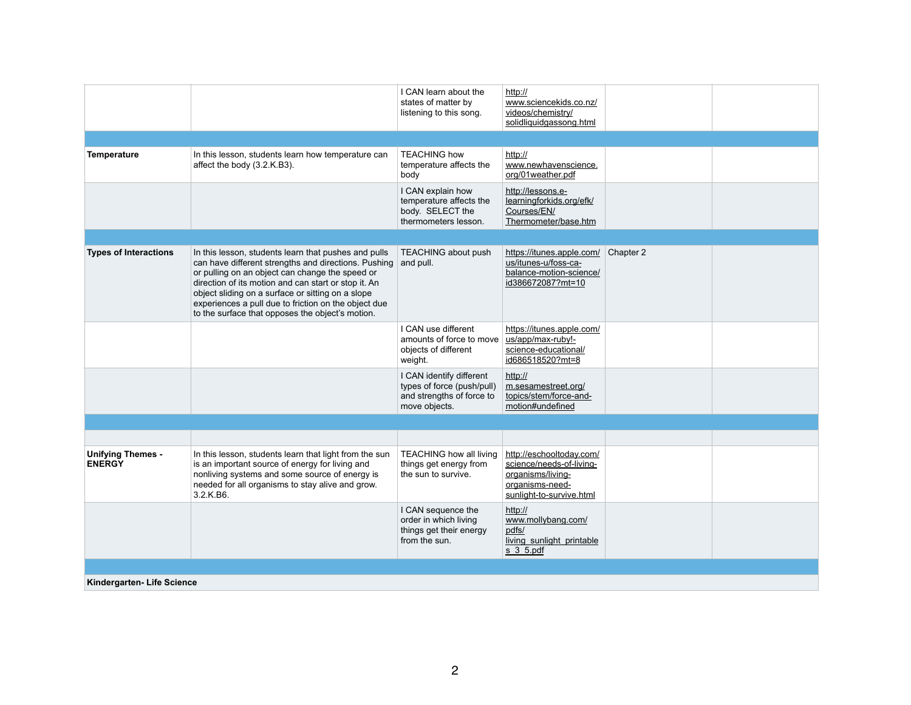|                                           |                                                                                                                                                                                                                                                                                                                                                                                          | I CAN learn about the<br>states of matter by<br>listening to this song.                              | http://<br>www.sciencekids.co.nz/<br>videos/chemistry/<br>solidliquidgassong.html                                        |           |  |
|-------------------------------------------|------------------------------------------------------------------------------------------------------------------------------------------------------------------------------------------------------------------------------------------------------------------------------------------------------------------------------------------------------------------------------------------|------------------------------------------------------------------------------------------------------|--------------------------------------------------------------------------------------------------------------------------|-----------|--|
|                                           |                                                                                                                                                                                                                                                                                                                                                                                          |                                                                                                      |                                                                                                                          |           |  |
| <b>Temperature</b>                        | In this lesson, students learn how temperature can<br>affect the body (3.2.K.B3).                                                                                                                                                                                                                                                                                                        | <b>TEACHING how</b><br>temperature affects the<br>body                                               | http://<br>www.newhavenscience.<br>org/01weather.pdf                                                                     |           |  |
|                                           |                                                                                                                                                                                                                                                                                                                                                                                          | I CAN explain how<br>temperature affects the<br>body. SELECT the<br>thermometers lesson.             | http://lessons.e-<br>learningforkids.org/efk/<br>Courses/EN/<br>Thermometer/base.htm                                     |           |  |
|                                           |                                                                                                                                                                                                                                                                                                                                                                                          |                                                                                                      |                                                                                                                          |           |  |
| <b>Types of Interactions</b>              | In this lesson, students learn that pushes and pulls<br>can have different strengths and directions. Pushing<br>or pulling on an object can change the speed or<br>direction of its motion and can start or stop it. An<br>object sliding on a surface or sitting on a slope<br>experiences a pull due to friction on the object due<br>to the surface that opposes the object's motion. | <b>TEACHING about push</b><br>and pull.                                                              | https://itunes.apple.com/<br>us/itunes-u/foss-ca-<br>balance-motion-science/<br>id386672087?mt=10                        | Chapter 2 |  |
|                                           |                                                                                                                                                                                                                                                                                                                                                                                          | I CAN use different<br>amounts of force to move<br>objects of different<br>weight.                   | https://itunes.apple.com/<br>us/app/max-ruby!-<br>science-educational/<br>id686518520?mt=8                               |           |  |
|                                           |                                                                                                                                                                                                                                                                                                                                                                                          | I CAN identify different<br>types of force (push/pull)<br>and strengths of force to<br>move objects. | http://<br>m.sesamestreet.org/<br>topics/stem/force-and-<br>motion#undefined                                             |           |  |
|                                           |                                                                                                                                                                                                                                                                                                                                                                                          |                                                                                                      |                                                                                                                          |           |  |
|                                           |                                                                                                                                                                                                                                                                                                                                                                                          |                                                                                                      |                                                                                                                          |           |  |
| <b>Unifying Themes -</b><br><b>ENERGY</b> | In this lesson, students learn that light from the sun<br>is an important source of energy for living and<br>nonliving systems and some source of energy is<br>needed for all organisms to stay alive and grow.<br>3.2.K.B6.                                                                                                                                                             | <b>TEACHING how all living</b><br>things get energy from<br>the sun to survive.                      | http://eschooltoday.com/<br>science/needs-of-living-<br>organisms/living-<br>organisms-need-<br>sunlight-to-survive.html |           |  |
|                                           |                                                                                                                                                                                                                                                                                                                                                                                          | I CAN sequence the<br>order in which living<br>things get their energy<br>from the sun.              | http://<br>www.mollybang.com/<br>pdfs/<br>living sunlight printable<br>s 3 5 pdf                                         |           |  |
|                                           |                                                                                                                                                                                                                                                                                                                                                                                          |                                                                                                      |                                                                                                                          |           |  |
| Kindergarten- Life Science                |                                                                                                                                                                                                                                                                                                                                                                                          |                                                                                                      |                                                                                                                          |           |  |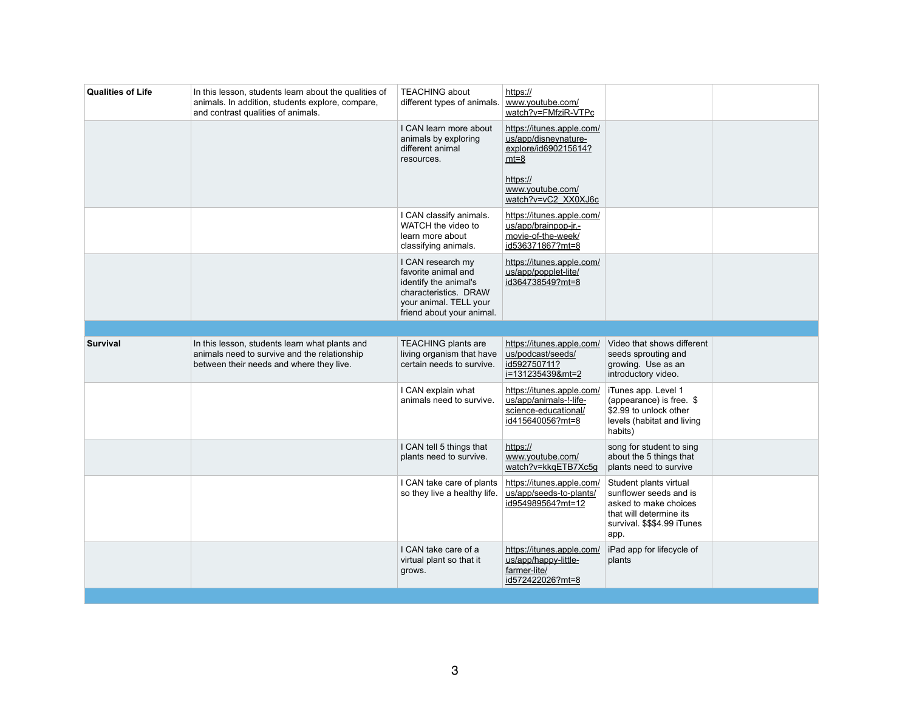| In this lesson, students learn about the qualities of<br>animals. In addition, students explore, compare,<br>and contrast qualities of animals. | <b>TEACHING about</b><br>different types of animals.                                                                                              | https://<br>www.youtube.com/                                                                    |                                                                                                                                         |
|-------------------------------------------------------------------------------------------------------------------------------------------------|---------------------------------------------------------------------------------------------------------------------------------------------------|-------------------------------------------------------------------------------------------------|-----------------------------------------------------------------------------------------------------------------------------------------|
|                                                                                                                                                 |                                                                                                                                                   | watch?v=FMfziR-VTPc                                                                             |                                                                                                                                         |
|                                                                                                                                                 | I CAN learn more about<br>animals by exploring<br>different animal<br>resources.                                                                  | https://itunes.apple.com/<br>us/app/disneynature-<br>explore/id690215614?<br>$mt=8$             |                                                                                                                                         |
|                                                                                                                                                 |                                                                                                                                                   | https://<br>www.youtube.com/<br>watch?v=vC2 XX0XJ6c                                             |                                                                                                                                         |
|                                                                                                                                                 | I CAN classify animals.<br>WATCH the video to<br>learn more about<br>classifying animals.                                                         | https://itunes.apple.com/<br>us/app/brainpop-jr.-<br>movie-of-the-week/<br>id536371867?mt=8     |                                                                                                                                         |
|                                                                                                                                                 | I CAN research my<br>favorite animal and<br>identify the animal's<br>characteristics. DRAW<br>your animal. TELL your<br>friend about your animal. | https://itunes.apple.com/<br>us/app/popplet-lite/<br>id364738549?mt=8                           |                                                                                                                                         |
|                                                                                                                                                 |                                                                                                                                                   |                                                                                                 |                                                                                                                                         |
| In this lesson, students learn what plants and<br>animals need to survive and the relationship<br>between their needs and where they live.      | <b>TEACHING plants are</b><br>living organism that have<br>certain needs to survive.                                                              | https://itunes.apple.com/<br>us/podcast/seeds/<br>id592750711?<br>i=131235439&mt=2              | Video that shows diffe<br>seeds sprouting and<br>growing. Use as an<br>introductory video.                                              |
|                                                                                                                                                 | I CAN explain what<br>animals need to survive.                                                                                                    | https://itunes.apple.com/<br>us/app/animals-!-life-<br>science-educational/<br>id415640056?mt=8 | iTunes app. Level 1<br>(appearance) is free.<br>\$2.99 to unlock other<br>levels (habitat and livi<br>habits)                           |
|                                                                                                                                                 | I CAN tell 5 things that<br>plants need to survive.                                                                                               | https://<br>www.youtube.com/<br>watch?v=kkqETB7Xc5g                                             | song for student to sir<br>about the 5 things tha<br>plants need to survive                                                             |
|                                                                                                                                                 | I CAN take care of plants<br>so they live a healthy life.                                                                                         | https://itunes.apple.com/<br>us/app/seeds-to-plants/<br>id954989564?mt=12                       | Student plants virtual<br>sunflower seeds and i<br>asked to make choice<br>that will determine its<br>survival. \$\$\$4.99 iTun<br>app. |
|                                                                                                                                                 | I CAN take care of a<br>virtual plant so that it<br>grows.                                                                                        | https://itunes.apple.com/<br>us/app/happy-little-<br>farmer-lite/<br>id572422026?mt=8           | iPad app for lifecycle<br>plants                                                                                                        |
|                                                                                                                                                 |                                                                                                                                                   |                                                                                                 |                                                                                                                                         |

| Video that shows different<br>seeds sprouting and<br>growing. Use as an<br>introductory video.                                                                                                     |  |
|----------------------------------------------------------------------------------------------------------------------------------------------------------------------------------------------------|--|
| iTunes app. Level 1<br>(appearance) is free. \$                                                                                                                                                    |  |
| \$2.99 to unlock other<br>levels (habitat and living<br>habits)                                                                                                                                    |  |
| plants need to survive                                                                                                                                                                             |  |
| song for student to sing<br>about the 5 things that<br>Student plants virtual<br>sunflower seeds and is<br>asked to make choices<br>that will determine its<br>survival. \$\$\$4.99 iTunes<br>app. |  |
| iPad app for lifecycle of<br>plants                                                                                                                                                                |  |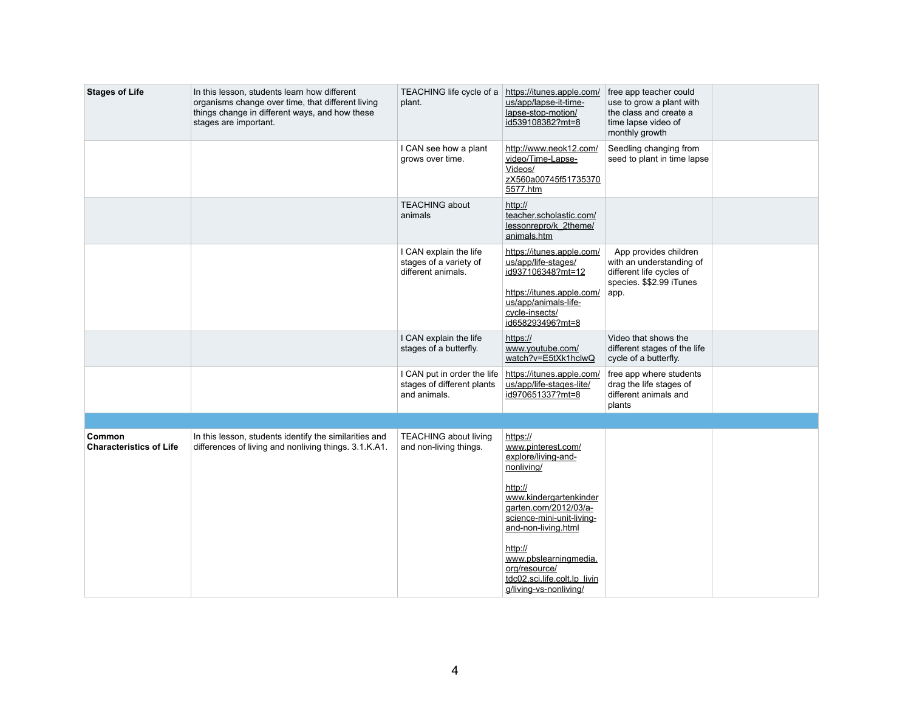| free app teacher could<br>use to grow a plant with<br>the class and create a<br>time lapse video of<br>monthly growth |  |
|-----------------------------------------------------------------------------------------------------------------------|--|
| Seedling changing from<br>seed to plant in time lapse                                                                 |  |
|                                                                                                                       |  |
| App provides children<br>with an understanding of<br>different life cycles of<br>species. \$\$2.99 iTunes<br>app.     |  |
| Video that shows the<br>different stages of the life<br>cycle of a butterfly.                                         |  |
| free app where students<br>drag the life stages of<br>different animals and<br>plants                                 |  |
|                                                                                                                       |  |
|                                                                                                                       |  |

| <b>Stages of Life</b>                    | In this lesson, students learn how different<br>organisms change over time, that different living<br>things change in different ways, and how these<br>stages are important. | TEACHING life cycle of a<br>plant.                                        | https://itunes.apple.com/<br>us/app/lapse-it-time-<br>lapse-stop-motion/<br>id539108382?mt=8                               | free app teacher could<br>use to grow a plant wit<br>the class and create a<br>time lapse video of<br>monthly growth |
|------------------------------------------|------------------------------------------------------------------------------------------------------------------------------------------------------------------------------|---------------------------------------------------------------------------|----------------------------------------------------------------------------------------------------------------------------|----------------------------------------------------------------------------------------------------------------------|
|                                          |                                                                                                                                                                              | I CAN see how a plant<br>grows over time.                                 | http://www.neok12.com/<br>video/Time-Lapse-<br>Videos/<br>zX560a00745f51735370<br>5577.htm                                 | Seedling changing fror<br>seed to plant in time la                                                                   |
|                                          |                                                                                                                                                                              | <b>TEACHING about</b><br>animals                                          | http://<br>teacher.scholastic.com/<br>lessonrepro/k 2theme/<br>animals.htm                                                 |                                                                                                                      |
|                                          |                                                                                                                                                                              | I CAN explain the life<br>stages of a variety of<br>different animals.    | https://itunes.apple.com/<br>us/app/life-stages/<br>id937106348?mt=12<br>https://itunes.apple.com/<br>us/app/animals-life- | App provides childre<br>with an understanding<br>different life cycles of<br>species. \$\$2.99 iTunes<br>app.        |
|                                          |                                                                                                                                                                              |                                                                           | cycle-insects/<br>id658293496?mt=8                                                                                         |                                                                                                                      |
|                                          |                                                                                                                                                                              | I CAN explain the life<br>stages of a butterfly.                          | https://<br>www.youtube.com/<br>watch?v=E5tXk1hclwQ                                                                        | Video that shows the<br>different stages of the<br>cycle of a butterfly.                                             |
|                                          |                                                                                                                                                                              | I CAN put in order the life<br>stages of different plants<br>and animals. | https://itunes.apple.com/<br>us/app/life-stages-lite/<br>id970651337?mt=8                                                  | free app where studen<br>drag the life stages of<br>different animals and<br>plants                                  |
|                                          |                                                                                                                                                                              |                                                                           |                                                                                                                            |                                                                                                                      |
| Common<br><b>Characteristics of Life</b> | In this lesson, students identify the similarities and<br>differences of living and nonliving things. 3.1.K.A1.                                                              | <b>TEACHING about living</b><br>and non-living things.                    | https://<br>www.pinterest.com/<br>explore/living-and-<br>nonliving/                                                        |                                                                                                                      |
|                                          |                                                                                                                                                                              |                                                                           | http://<br>www.kindergartenkinder<br>garten.com/2012/03/a-<br>science-mini-unit-living-<br>and-non-living.html             |                                                                                                                      |
|                                          |                                                                                                                                                                              |                                                                           | http://<br>www.pbslearningmedia.<br>org/resource/<br>tdc02.sci.life.colt.lp livin<br>g/living-vs-nonliving/                |                                                                                                                      |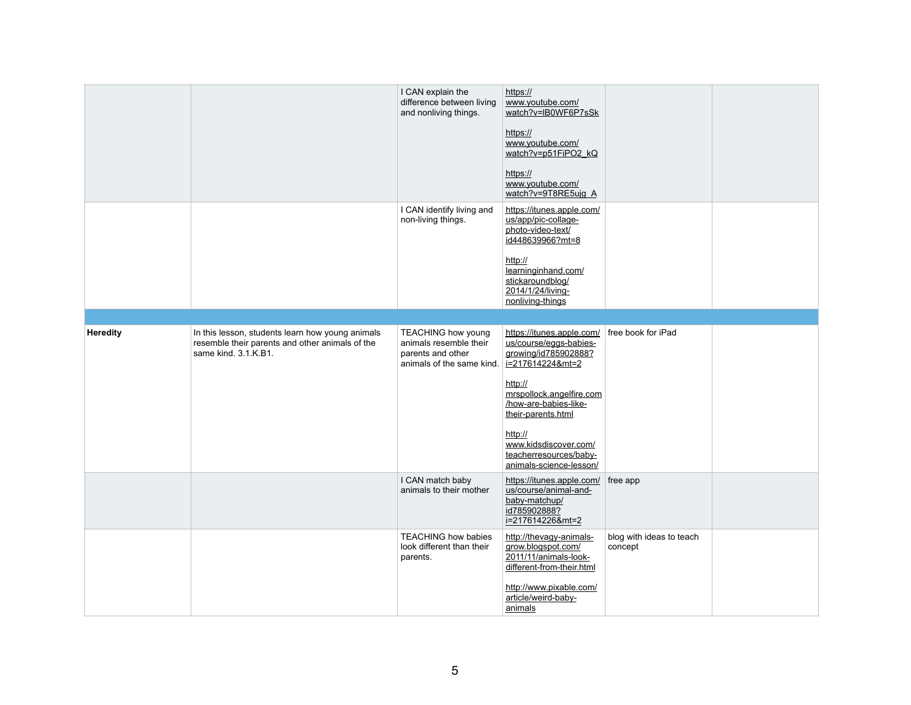|                 |                                                                                                                             | I CAN explain the                                                                                                         | https://                                                                    |                          |  |
|-----------------|-----------------------------------------------------------------------------------------------------------------------------|---------------------------------------------------------------------------------------------------------------------------|-----------------------------------------------------------------------------|--------------------------|--|
|                 |                                                                                                                             | difference between living<br>and nonliving things.                                                                        | www.youtube.com/<br>watch?v=IB0WF6P7sSk                                     |                          |  |
|                 |                                                                                                                             |                                                                                                                           | https://                                                                    |                          |  |
|                 |                                                                                                                             |                                                                                                                           | www.youtube.com/<br>watch?v=p51FiPO2_kQ                                     |                          |  |
|                 |                                                                                                                             |                                                                                                                           | https://                                                                    |                          |  |
|                 |                                                                                                                             |                                                                                                                           | www.youtube.com/<br>watch?v=9T8RE5ujg_A                                     |                          |  |
|                 |                                                                                                                             | I CAN identify living and<br>non-living things.                                                                           | https://itunes.apple.com/<br>us/app/pic-collage-<br>photo-video-text/       |                          |  |
|                 |                                                                                                                             |                                                                                                                           | id448639966?mt=8                                                            |                          |  |
|                 |                                                                                                                             |                                                                                                                           | http://<br>learninginhand.com/                                              |                          |  |
|                 |                                                                                                                             |                                                                                                                           | stickaroundblog/<br>2014/1/24/living-                                       |                          |  |
|                 |                                                                                                                             |                                                                                                                           | nonliving-things                                                            |                          |  |
|                 |                                                                                                                             |                                                                                                                           |                                                                             |                          |  |
| <b>Heredity</b> | In this lesson, students learn how young animals<br>resemble their parents and other animals of the<br>same kind. 3.1.K.B1. | <b>TEACHING how young</b><br>animals resemble their<br>parents and other<br>animals of the same kind. $i=2176142248$ mt=2 | https://itunes.apple.com/<br>us/course/eggs-babies-<br>growing/id785902888? | free book for iPad       |  |
|                 |                                                                                                                             |                                                                                                                           | http://                                                                     |                          |  |
|                 |                                                                                                                             |                                                                                                                           | mrspollock.angelfire.com<br>/how-are-babies-like-<br>their-parents.html     |                          |  |
|                 |                                                                                                                             |                                                                                                                           | http://                                                                     |                          |  |
|                 |                                                                                                                             |                                                                                                                           | www.kidsdiscover.com/<br>teacherresources/baby-<br>animals-science-lesson/  |                          |  |
|                 |                                                                                                                             | I CAN match baby<br>animals to their mother                                                                               | https://itunes.apple.com/   free app<br>us/course/animal-and-               |                          |  |
|                 |                                                                                                                             |                                                                                                                           | baby-matchup/<br>id785902888?<br>i=217614226&mt=2                           |                          |  |
|                 |                                                                                                                             | <b>TEACHING how babies</b>                                                                                                | http://thevagy-animals-                                                     | blog with ideas to teach |  |
|                 |                                                                                                                             | look different than their<br>parents.                                                                                     | grow.blogspot.com/<br>2011/11/animals-look-<br>different-from-their.html    | concept                  |  |
|                 |                                                                                                                             |                                                                                                                           | http://www.pixable.com/<br>article/weird-baby-<br>animals                   |                          |  |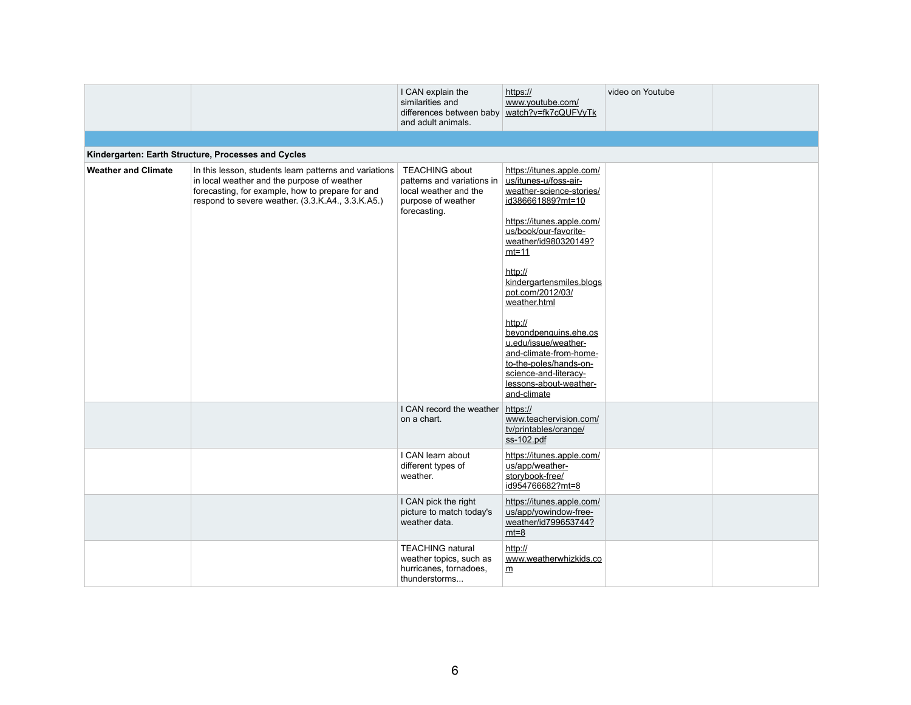|                            |                                                                                                                                                                                                                | I CAN explain the<br>similarities and<br>differences between baby   watch?v=fk7cQUFVyTk<br>and adult animals.      | https://<br>www.youtube.com/                                                                                                                                                                                                                                                                                                                                                                                                                    | video on Youtube |  |
|----------------------------|----------------------------------------------------------------------------------------------------------------------------------------------------------------------------------------------------------------|--------------------------------------------------------------------------------------------------------------------|-------------------------------------------------------------------------------------------------------------------------------------------------------------------------------------------------------------------------------------------------------------------------------------------------------------------------------------------------------------------------------------------------------------------------------------------------|------------------|--|
|                            | Kindergarten: Earth Structure, Processes and Cycles                                                                                                                                                            |                                                                                                                    |                                                                                                                                                                                                                                                                                                                                                                                                                                                 |                  |  |
| <b>Weather and Climate</b> | In this lesson, students learn patterns and variations<br>in local weather and the purpose of weather<br>forecasting, for example, how to prepare for and<br>respond to severe weather. (3.3.K.A4., 3.3.K.A5.) | <b>TEACHING about</b><br>patterns and variations in<br>local weather and the<br>purpose of weather<br>forecasting. | https://itunes.apple.com/<br>us/itunes-u/foss-air-<br>weather-science-stories/<br>id386661889?mt=10<br>https://itunes.apple.com/<br>us/book/our-favorite-<br>weather/id980320149?<br><u>mt=11</u><br>http://<br>kindergartensmiles.blogs<br>pot.com/2012/03/<br>weather.html<br>http://<br>beyondpenguins.ehe.os<br>u.edu/issue/weather-<br>and-climate-from-home-<br>to-the-poles/hands-on-<br>science-and-literacy-<br>lessons-about-weather- |                  |  |
|                            |                                                                                                                                                                                                                | I CAN record the weather<br>on a chart.                                                                            | and-climate<br>https://<br>www.teachervision.com/<br>tv/printables/orange/<br>$ss-102.pdf$                                                                                                                                                                                                                                                                                                                                                      |                  |  |
|                            |                                                                                                                                                                                                                | I CAN learn about<br>different types of<br>weather.                                                                | https://itunes.apple.com/<br>us/app/weather-<br>storybook-free/<br>id954766682?mt=8                                                                                                                                                                                                                                                                                                                                                             |                  |  |
|                            |                                                                                                                                                                                                                | I CAN pick the right<br>picture to match today's<br>weather data.                                                  | https://itunes.apple.com/<br>us/app/yowindow-free-<br>weather/id799653744?<br>$mt=8$                                                                                                                                                                                                                                                                                                                                                            |                  |  |
|                            |                                                                                                                                                                                                                | <b>TEACHING natural</b><br>weather topics, such as<br>hurricanes, tornadoes,<br>thunderstorms                      | http://<br>www.weatherwhizkids.co<br>m                                                                                                                                                                                                                                                                                                                                                                                                          |                  |  |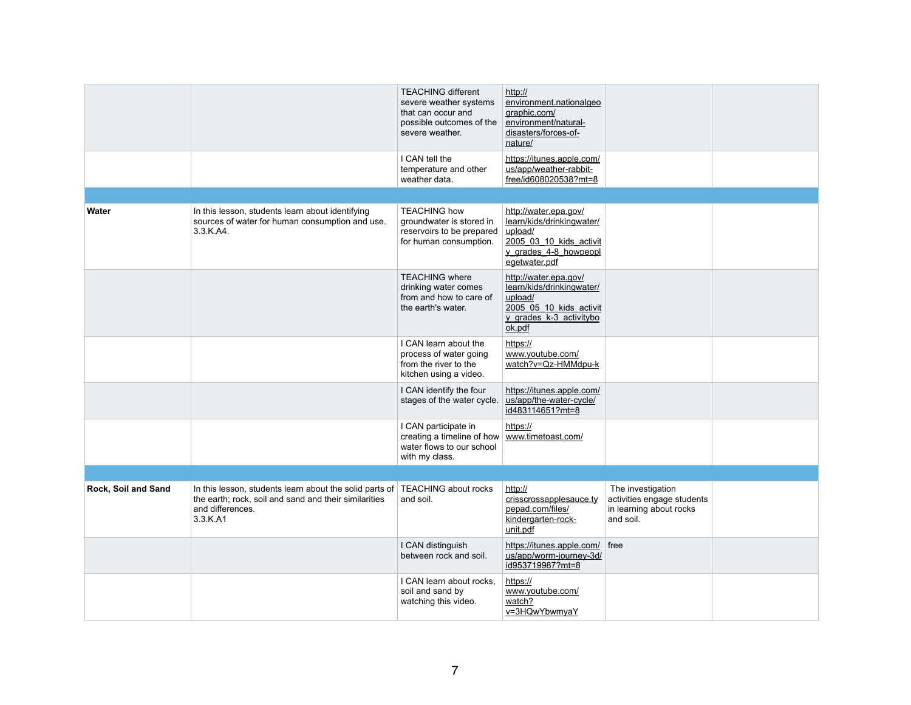|                     |                                                                                                                                                                       | <b>TEACHING different</b><br>severe weather systems<br>that can occur and<br>possible outcomes of the<br>severe weather. | http://<br>environment.nationalgeo<br>graphic.com/<br>environment/natural-<br>disasters/forces-of-<br>nature/                      |                                                                                         |  |
|---------------------|-----------------------------------------------------------------------------------------------------------------------------------------------------------------------|--------------------------------------------------------------------------------------------------------------------------|------------------------------------------------------------------------------------------------------------------------------------|-----------------------------------------------------------------------------------------|--|
|                     |                                                                                                                                                                       | I CAN tell the<br>temperature and other<br>weather data.                                                                 | https://itunes.apple.com/<br>us/app/weather-rabbit-<br>free/id608020538?mt=8                                                       |                                                                                         |  |
|                     |                                                                                                                                                                       |                                                                                                                          |                                                                                                                                    |                                                                                         |  |
| <b>Water</b>        | In this lesson, students learn about identifying<br>sources of water for human consumption and use.<br>3.3.K.A4.                                                      | <b>TEACHING how</b><br>groundwater is stored in<br>reservoirs to be prepared<br>for human consumption.                   | http://water.epa.gov/<br>learn/kids/drinkingwater/<br>upload/<br>2005 03 10 kids activit<br>y grades 4-8 howpeopl<br>egetwater.pdf |                                                                                         |  |
|                     |                                                                                                                                                                       | <b>TEACHING where</b><br>drinking water comes<br>from and how to care of<br>the earth's water.                           | http://water.epa.gov/<br>learn/kids/drinkingwater/<br>upload/<br>2005 05 10 kids activit<br>y grades k-3 activitybo<br>ok.pdf      |                                                                                         |  |
|                     |                                                                                                                                                                       | I CAN learn about the<br>process of water going<br>from the river to the<br>kitchen using a video.                       | https://<br>www.youtube.com/<br>watch?v=Qz-HMMdpu-k                                                                                |                                                                                         |  |
|                     |                                                                                                                                                                       | I CAN identify the four<br>stages of the water cycle.                                                                    | https://itunes.apple.com/<br>us/app/the-water-cycle/<br>id483114651?mt=8                                                           |                                                                                         |  |
|                     |                                                                                                                                                                       | I CAN participate in<br>creating a timeline of how   www.timetoast.com/<br>water flows to our school<br>with my class.   | https://                                                                                                                           |                                                                                         |  |
|                     |                                                                                                                                                                       |                                                                                                                          |                                                                                                                                    |                                                                                         |  |
| Rock, Soil and Sand | In this lesson, students learn about the solid parts of TEACHING about rocks<br>the earth; rock, soil and sand and their similarities<br>and differences.<br>3.3.K.A1 | and soil.                                                                                                                | http://<br>crisscrossapplesauce.ty<br>pepad.com/files/<br>kindergarten-rock-<br>unit.pdf                                           | The investigation<br>activities engage students<br>in learning about rocks<br>and soil. |  |
|                     |                                                                                                                                                                       | I CAN distinguish<br>between rock and soil.                                                                              | https://itunes.apple.com/ free<br>us/app/worm-journey-3d/<br>id953719987?mt=8                                                      |                                                                                         |  |
|                     |                                                                                                                                                                       | I CAN learn about rocks,<br>soil and sand by<br>watching this video.                                                     | https://<br>www.youtube.com/<br>watch?<br>v=3HQwYbwmyaY                                                                            |                                                                                         |  |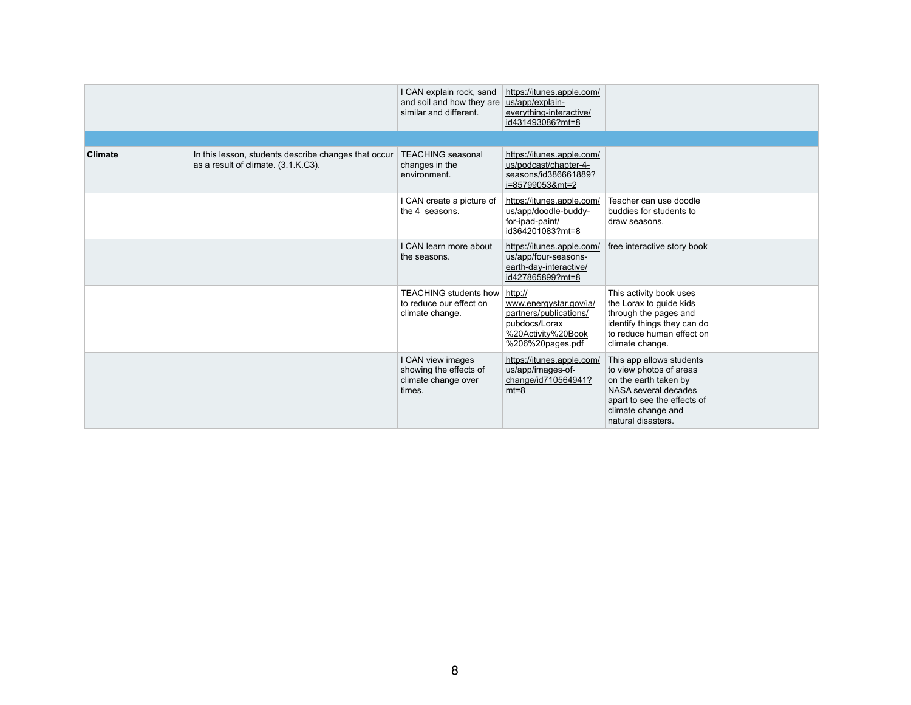|                |                                                                                             | I CAN explain rock, sand<br>and soil and how they are<br>similar and different. | https://itunes.apple.com/<br>us/app/explain-<br>everything-interactive/<br>id431493086?mt=8                            |                                                                                                                                                                                 |  |
|----------------|---------------------------------------------------------------------------------------------|---------------------------------------------------------------------------------|------------------------------------------------------------------------------------------------------------------------|---------------------------------------------------------------------------------------------------------------------------------------------------------------------------------|--|
|                |                                                                                             |                                                                                 |                                                                                                                        |                                                                                                                                                                                 |  |
| <b>Climate</b> | In this lesson, students describe changes that occur<br>as a result of climate. (3.1.K.C3). | <b>TEACHING</b> seasonal<br>changes in the<br>environment.                      | https://itunes.apple.com/<br>us/podcast/chapter-4-<br>seasons/id386661889?<br>i=85799053&mt=2                          |                                                                                                                                                                                 |  |
|                |                                                                                             | I CAN create a picture of<br>the 4 seasons.                                     | https://itunes.apple.com/<br>us/app/doodle-buddy-<br>for-ipad-paint/<br>id364201083?mt=8                               | Teacher can use doodle<br>buddies for students to<br>draw seasons.                                                                                                              |  |
|                |                                                                                             | I CAN learn more about<br>the seasons.                                          | https://itunes.apple.com/<br>us/app/four-seasons-<br>earth-day-interactive/<br>id427865899?mt=8                        | free interactive story book                                                                                                                                                     |  |
|                |                                                                                             | <b>TEACHING students how</b><br>to reduce our effect on<br>climate change.      | http://<br>www.energystar.gov/ia/<br>partners/publications/<br>pubdocs/Lorax<br>%20Activity%20Book<br>%206%20pages.pdf | This activity book uses<br>the Lorax to guide kids<br>through the pages and<br>identify things they can do<br>to reduce human effect on<br>climate change.                      |  |
|                |                                                                                             | I CAN view images<br>showing the effects of<br>climate change over<br>times.    | https://itunes.apple.com/<br>us/app/images-of-<br>change/id710564941?<br>$mt=8$                                        | This app allows students<br>to view photos of areas<br>on the earth taken by<br>NASA several decades<br>apart to see the effects of<br>climate change and<br>natural disasters. |  |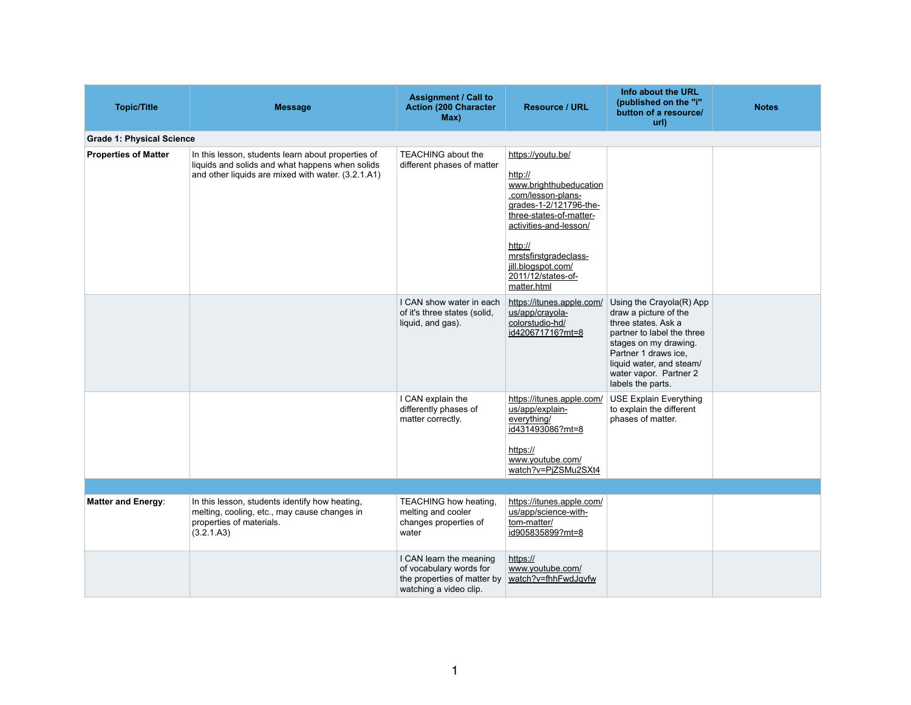| Info about the URL<br>(published on the "i"<br>button of a resource/<br>url)                                                                                                                                                       | <b>Notes</b> |
|------------------------------------------------------------------------------------------------------------------------------------------------------------------------------------------------------------------------------------|--------------|
|                                                                                                                                                                                                                                    |              |
|                                                                                                                                                                                                                                    |              |
| Using the Crayola(R) App<br>draw a picture of the<br>three states. Ask a<br>partner to label the three<br>stages on my drawing.<br>Partner 1 draws ice,<br>liquid water, and steam/<br>water vapor. Partner 2<br>labels the parts. |              |
| <b>USE Explain Everything</b><br>to explain the different<br>phases of matter.                                                                                                                                                     |              |
|                                                                                                                                                                                                                                    |              |
|                                                                                                                                                                                                                                    |              |
|                                                                                                                                                                                                                                    |              |

| <b>Topic/Title</b>               | <b>Message</b>                                                                                                                                              | <b>Assignment / Call to</b><br><b>Action (200 Character</b><br>Max)                                         | <b>Resource / URL</b>                                                                                                                                                                                                                                      | Info about the UF<br>(published on the<br>button of a resour<br>url)                                                                                                                                                   |
|----------------------------------|-------------------------------------------------------------------------------------------------------------------------------------------------------------|-------------------------------------------------------------------------------------------------------------|------------------------------------------------------------------------------------------------------------------------------------------------------------------------------------------------------------------------------------------------------------|------------------------------------------------------------------------------------------------------------------------------------------------------------------------------------------------------------------------|
| <b>Grade 1: Physical Science</b> |                                                                                                                                                             |                                                                                                             |                                                                                                                                                                                                                                                            |                                                                                                                                                                                                                        |
| <b>Properties of Matter</b>      | In this lesson, students learn about properties of<br>liquids and solids and what happens when solids<br>and other liquids are mixed with water. (3.2.1.A1) | <b>TEACHING about the</b><br>different phases of matter                                                     | https://youtu.be/<br>http://<br>www.brighthubeducation<br>.com/lesson-plans-<br>grades-1-2/121796-the-<br>three-states-of-matter-<br>activities-and-lesson/<br>http://<br>mrstsfirstgradeclass-<br>jill.blogspot.com/<br>2011/12/states-of-<br>matter.html |                                                                                                                                                                                                                        |
|                                  |                                                                                                                                                             | I CAN show water in each<br>of it's three states (solid,<br>liquid, and gas).                               | https://itunes.apple.com/<br>us/app/crayola-<br>colorstudio-hd/<br>id420671716?mt=8                                                                                                                                                                        | Using the Crayola(R)<br>draw a picture of the<br>three states. Ask a<br>partner to label the th<br>stages on my drawing<br>Partner 1 draws ice,<br>liquid water, and stea<br>water vapor. Partner<br>labels the parts. |
|                                  |                                                                                                                                                             | I CAN explain the<br>differently phases of<br>matter correctly.                                             | https://itunes.apple.com/<br>us/app/explain-<br>everything/<br>id431493086?mt=8<br>https://<br>www.youtube.com/<br>watch?v=PjZSMu2SXt4                                                                                                                     | <b>USE Explain Everyth</b><br>to explain the differer<br>phases of matter.                                                                                                                                             |
|                                  |                                                                                                                                                             |                                                                                                             |                                                                                                                                                                                                                                                            |                                                                                                                                                                                                                        |
| <b>Matter and Energy:</b>        | In this lesson, students identify how heating,<br>melting, cooling, etc., may cause changes in<br>properties of materials.<br>(3.2.1.A3)                    | <b>TEACHING how heating,</b><br>melting and cooler<br>changes properties of<br>water                        | https://itunes.apple.com/<br>us/app/science-with-<br>tom-matter/<br>id905835899?mt=8                                                                                                                                                                       |                                                                                                                                                                                                                        |
|                                  |                                                                                                                                                             | I CAN learn the meaning<br>of vocabulary words for<br>the properties of matter by<br>watching a video clip. | https://<br>www.youtube.com/<br>watch?v=fhhFwdJqvfw                                                                                                                                                                                                        |                                                                                                                                                                                                                        |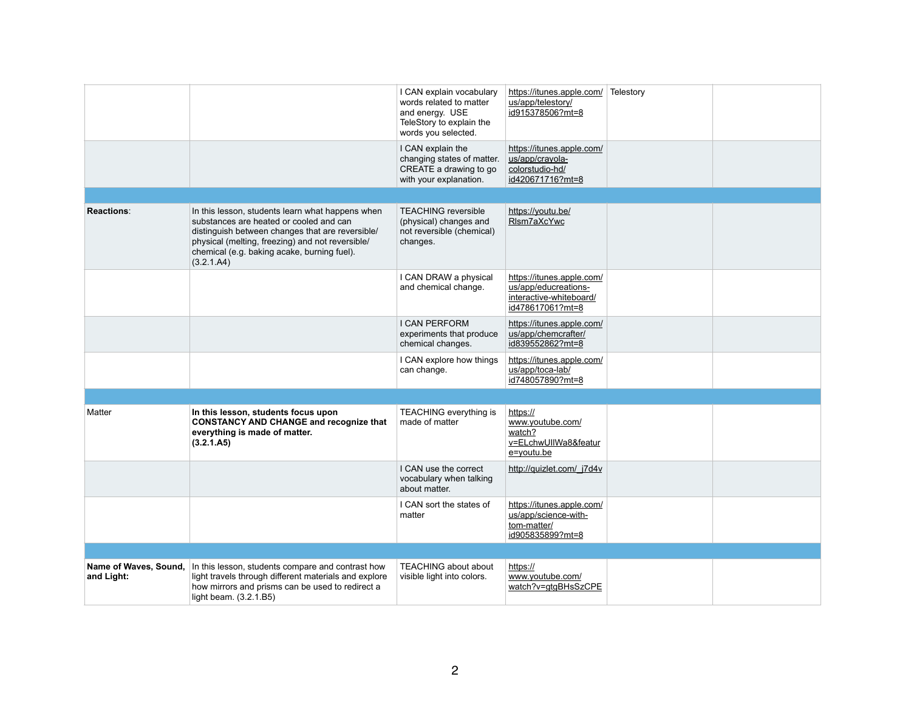|                                     |                                                                                                                                                                                                                                                                  | I CAN explain vocabulary<br>words related to matter<br>and energy. USE<br>TeleStory to explain the<br>words you selected. | https://itunes.apple.com/<br>us/app/telestory/<br>id915378506?mt=8                               | Telestory |  |
|-------------------------------------|------------------------------------------------------------------------------------------------------------------------------------------------------------------------------------------------------------------------------------------------------------------|---------------------------------------------------------------------------------------------------------------------------|--------------------------------------------------------------------------------------------------|-----------|--|
|                                     |                                                                                                                                                                                                                                                                  | I CAN explain the<br>changing states of matter.<br>CREATE a drawing to go<br>with your explanation.                       | https://itunes.apple.com/<br>us/app/crayola-<br>colorstudio-hd/<br>id420671716?mt=8              |           |  |
|                                     |                                                                                                                                                                                                                                                                  |                                                                                                                           |                                                                                                  |           |  |
| <b>Reactions:</b>                   | In this lesson, students learn what happens when<br>substances are heated or cooled and can<br>distinguish between changes that are reversible/<br>physical (melting, freezing) and not reversible/<br>chemical (e.g. baking acake, burning fuel).<br>(3.2.1.A4) | <b>TEACHING reversible</b><br>(physical) changes and<br>not reversible (chemical)<br>changes.                             | https://youtu.be/<br>RIsm7aXcYwc                                                                 |           |  |
|                                     |                                                                                                                                                                                                                                                                  | I CAN DRAW a physical<br>and chemical change.                                                                             | https://itunes.apple.com/<br>us/app/educreations-<br>interactive-whiteboard/<br>id478617061?mt=8 |           |  |
|                                     |                                                                                                                                                                                                                                                                  | <b>I CAN PERFORM</b><br>experiments that produce<br>chemical changes.                                                     | https://itunes.apple.com/<br>us/app/chemcrafter/<br>id839552862?mt=8                             |           |  |
|                                     |                                                                                                                                                                                                                                                                  | I CAN explore how things<br>can change.                                                                                   | https://itunes.apple.com/<br>us/app/toca-lab/<br>id748057890?mt=8                                |           |  |
|                                     |                                                                                                                                                                                                                                                                  |                                                                                                                           |                                                                                                  |           |  |
| Matter                              | In this lesson, students focus upon<br><b>CONSTANCY AND CHANGE and recognize that</b><br>everything is made of matter.<br>(3.2.1.A5)                                                                                                                             | <b>TEACHING everything is</b><br>made of matter                                                                           | https://<br>www.youtube.com/<br>watch?<br>v=ELchwUIIWa8&featur<br>e=youtu.be                     |           |  |
|                                     |                                                                                                                                                                                                                                                                  | I CAN use the correct<br>vocabulary when talking<br>about matter.                                                         | http://quizlet.com/_j7d4v                                                                        |           |  |
|                                     |                                                                                                                                                                                                                                                                  | I CAN sort the states of<br>matter                                                                                        | https://itunes.apple.com/<br>us/app/science-with-<br>tom-matter/<br>id905835899?mt=8             |           |  |
|                                     |                                                                                                                                                                                                                                                                  |                                                                                                                           |                                                                                                  |           |  |
| Name of Waves, Sound,<br>and Light: | In this lesson, students compare and contrast how<br>light travels through different materials and explore<br>how mirrors and prisms can be used to redirect a<br>light beam. $(3.2.1.B5)$                                                                       | <b>TEACHING about about</b><br>visible light into colors.                                                                 | https://<br>www.youtube.com/<br>watch?v=gtgBHsSzCPE                                              |           |  |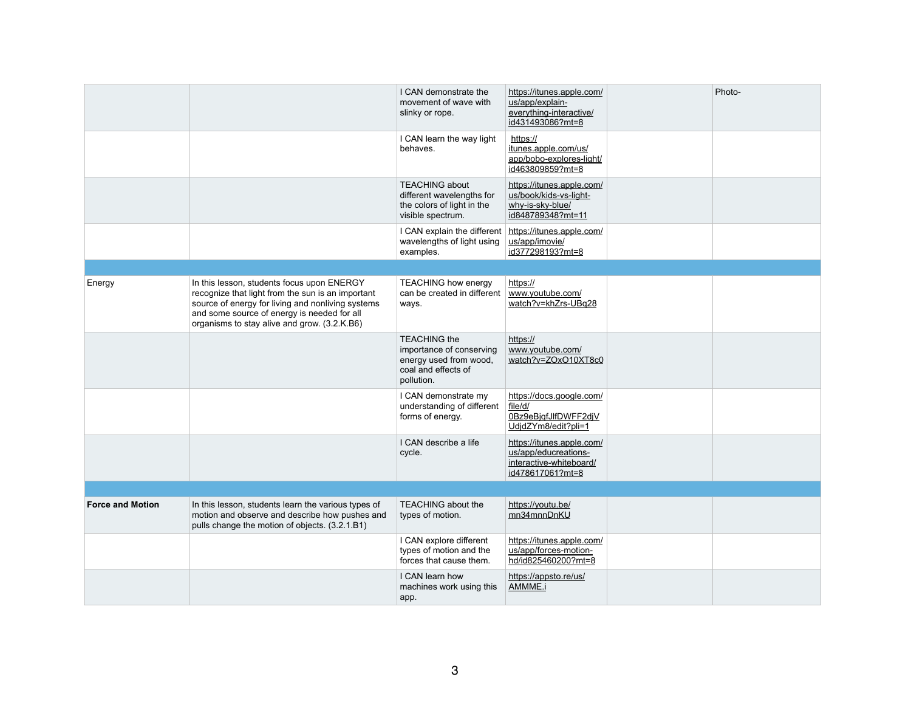| Photo- |
|--------|
|        |
|        |
|        |
|        |
|        |
|        |
|        |
|        |
|        |
|        |
|        |

|                         |                                                                                                                                                                                                                                                     | I CAN demonstrate the<br>movement of wave with<br>slinky or rope.                                              | https://itunes.apple.com/<br>us/app/explain-<br>everything-interactive/<br>id431493086?mt=8      |  |
|-------------------------|-----------------------------------------------------------------------------------------------------------------------------------------------------------------------------------------------------------------------------------------------------|----------------------------------------------------------------------------------------------------------------|--------------------------------------------------------------------------------------------------|--|
|                         |                                                                                                                                                                                                                                                     | I CAN learn the way light<br>behaves.                                                                          | https://<br>itunes.apple.com/us/<br>app/bobo-explores-light/<br>id463809859?mt=8                 |  |
|                         |                                                                                                                                                                                                                                                     | <b>TEACHING about</b><br>different wavelengths for<br>the colors of light in the<br>visible spectrum.          | https://itunes.apple.com/<br>us/book/kids-vs-light-<br>why-is-sky-blue/<br>id848789348?mt=11     |  |
|                         |                                                                                                                                                                                                                                                     | I CAN explain the different<br>wavelengths of light using<br>examples.                                         | https://itunes.apple.com/<br>us/app/imovie/<br>id377298193?mt=8                                  |  |
|                         |                                                                                                                                                                                                                                                     |                                                                                                                |                                                                                                  |  |
| Energy                  | In this lesson, students focus upon ENERGY<br>recognize that light from the sun is an important<br>source of energy for living and nonliving systems<br>and some source of energy is needed for all<br>organisms to stay alive and grow. (3.2.K.B6) | <b>TEACHING how energy</b><br>can be created in different<br>ways.                                             | https://<br>www.youtube.com/<br>watch?v=khZrs-UBq28                                              |  |
|                         |                                                                                                                                                                                                                                                     | <b>TEACHING the</b><br>importance of conserving<br>energy used from wood,<br>coal and effects of<br>pollution. | https://<br>www.youtube.com/<br>watch?v=ZOxO10XT8c0                                              |  |
|                         |                                                                                                                                                                                                                                                     | I CAN demonstrate my<br>understanding of different<br>forms of energy.                                         | https://docs.google.com/<br>file/d/<br>OBz9eBjgfJlfDWFF2djV<br>UdjdZYm8/edit?pli=1               |  |
|                         |                                                                                                                                                                                                                                                     | I CAN describe a life<br>cycle.                                                                                | https://itunes.apple.com/<br>us/app/educreations-<br>interactive-whiteboard/<br>id478617061?mt=8 |  |
|                         |                                                                                                                                                                                                                                                     |                                                                                                                |                                                                                                  |  |
| <b>Force and Motion</b> | In this lesson, students learn the various types of<br>motion and observe and describe how pushes and<br>pulls change the motion of objects. (3.2.1.B1)                                                                                             | <b>TEACHING about the</b><br>types of motion.                                                                  | https://youtu.be/<br>mn34mnnDnKU                                                                 |  |
|                         |                                                                                                                                                                                                                                                     | I CAN explore different<br>types of motion and the<br>forces that cause them.                                  | https://itunes.apple.com/<br>us/app/forces-motion-<br>hd/id825460200?mt=8                        |  |
|                         |                                                                                                                                                                                                                                                     | I CAN learn how<br>machines work using this<br>app.                                                            | https://appsto.re/us/<br>AMMME.i                                                                 |  |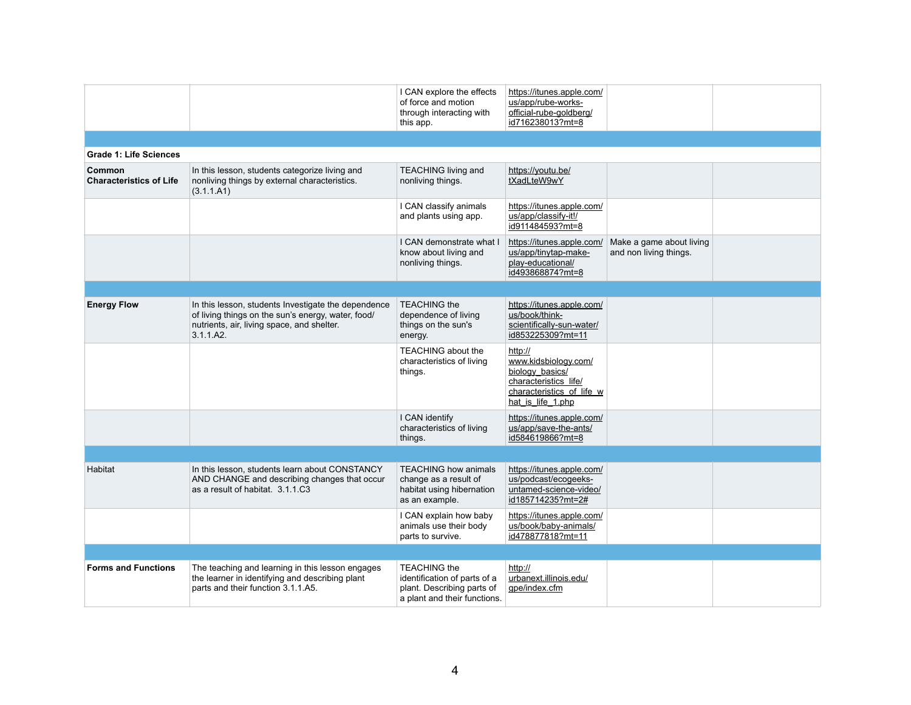|                                          |                                                                                                                                                                      | I CAN explore the effects<br>of force and motion<br>through interacting with<br>this app.                         | https://itunes.apple.com/<br>us/app/rube-works-<br>official-rube-goldberg/<br>id716238013?mt=8                                |                                               |
|------------------------------------------|----------------------------------------------------------------------------------------------------------------------------------------------------------------------|-------------------------------------------------------------------------------------------------------------------|-------------------------------------------------------------------------------------------------------------------------------|-----------------------------------------------|
|                                          |                                                                                                                                                                      |                                                                                                                   |                                                                                                                               |                                               |
| <b>Grade 1: Life Sciences</b>            |                                                                                                                                                                      |                                                                                                                   |                                                                                                                               |                                               |
| Common<br><b>Characteristics of Life</b> | In this lesson, students categorize living and<br>nonliving things by external characteristics.<br>(3.1.1.A1)                                                        | <b>TEACHING living and</b><br>nonliving things.                                                                   | https://youtu.be/<br>tXadLteW9wY                                                                                              |                                               |
|                                          |                                                                                                                                                                      | I CAN classify animals<br>and plants using app.                                                                   | https://itunes.apple.com/<br>us/app/classify-it!/<br>id911484593?mt=8                                                         |                                               |
|                                          |                                                                                                                                                                      | I CAN demonstrate what I<br>know about living and<br>nonliving things.                                            | https://itunes.apple.com/<br>us/app/tinytap-make-<br>play-educational/<br>id493868874?mt=8                                    | Make a game about I<br>and non living things. |
|                                          |                                                                                                                                                                      |                                                                                                                   |                                                                                                                               |                                               |
| <b>Energy Flow</b>                       | In this lesson, students Investigate the dependence<br>of living things on the sun's energy, water, food/<br>nutrients, air, living space, and shelter.<br>3.1.1.A2. | <b>TEACHING the</b><br>dependence of living<br>things on the sun's<br>energy.                                     | https://itunes.apple.com/<br>us/book/think-<br>scientifically-sun-water/<br>id853225309?mt=11                                 |                                               |
|                                          |                                                                                                                                                                      | <b>TEACHING about the</b><br>characteristics of living<br>things.                                                 | http://<br>www.kidsbiology.com/<br>biology basics/<br>characteristics life/<br>characteristics of life w<br>hat is life 1.php |                                               |
|                                          |                                                                                                                                                                      | I CAN identify<br>characteristics of living<br>things.                                                            | https://itunes.apple.com/<br>us/app/save-the-ants/<br>id584619866?mt=8                                                        |                                               |
|                                          |                                                                                                                                                                      |                                                                                                                   |                                                                                                                               |                                               |
| Habitat                                  | In this lesson, students learn about CONSTANCY<br>AND CHANGE and describing changes that occur<br>as a result of habitat. 3.1.1.C3                                   | <b>TEACHING how animals</b><br>change as a result of<br>habitat using hibernation<br>as an example.               | https://itunes.apple.com/<br>us/podcast/ecogeeks-<br>untamed-science-video/<br>id185714235?mt=2#                              |                                               |
|                                          |                                                                                                                                                                      | I CAN explain how baby<br>animals use their body<br>parts to survive.                                             | https://itunes.apple.com/<br>us/book/baby-animals/<br>id478877818?mt=11                                                       |                                               |
|                                          |                                                                                                                                                                      |                                                                                                                   |                                                                                                                               |                                               |
| <b>Forms and Functions</b>               | The teaching and learning in this lesson engages<br>the learner in identifying and describing plant<br>parts and their function 3.1.1.A5.                            | <b>TEACHING the</b><br>identification of parts of a<br>plant. Describing parts of<br>a plant and their functions. | http://<br>urbanext.illinois.edu/<br>gpe/index.cfm                                                                            |                                               |
|                                          |                                                                                                                                                                      |                                                                                                                   |                                                                                                                               |                                               |

| a game about living<br>›n living things. |  |
|------------------------------------------|--|
|                                          |  |
|                                          |  |
|                                          |  |
|                                          |  |
|                                          |  |
|                                          |  |
|                                          |  |
|                                          |  |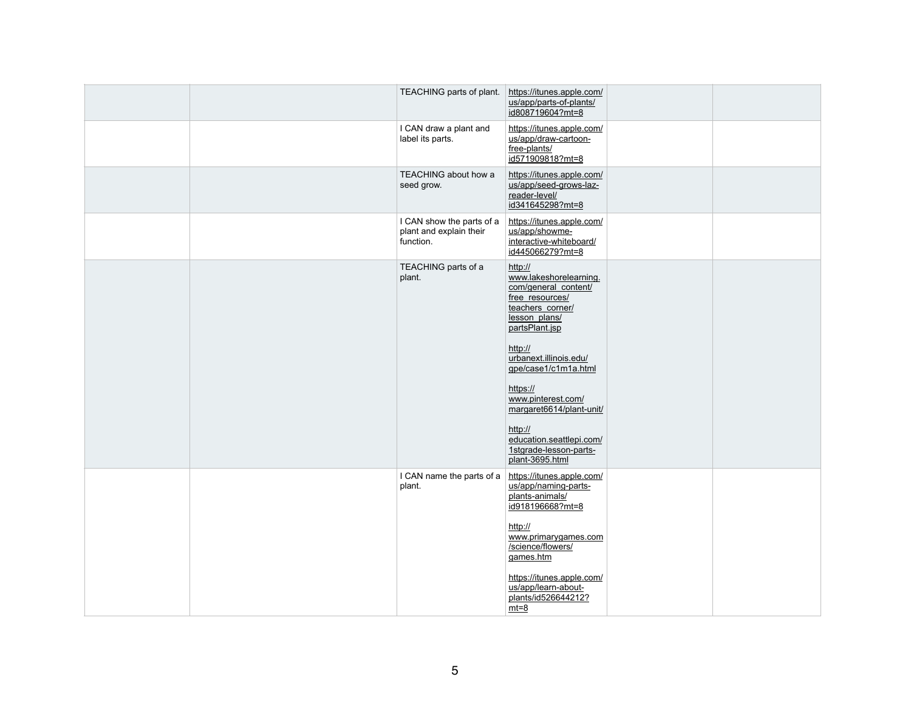| TEACHING parts of plant.                                          | https://itunes.apple.com/<br>us/app/parts-of-plants/<br>id808719604?mt=8                                                                                                                                                                                                                                                                           |
|-------------------------------------------------------------------|----------------------------------------------------------------------------------------------------------------------------------------------------------------------------------------------------------------------------------------------------------------------------------------------------------------------------------------------------|
| I CAN draw a plant and<br>label its parts.                        | https://itunes.apple.com/<br>us/app/draw-cartoon-<br>free-plants/<br>id571909818?mt=8                                                                                                                                                                                                                                                              |
| <b>TEACHING about how a</b><br>seed grow.                         | https://itunes.apple.com/<br>us/app/seed-grows-laz-<br>reader-level/<br>id341645298?mt=8                                                                                                                                                                                                                                                           |
| I CAN show the parts of a<br>plant and explain their<br>function. | https://itunes.apple.com/<br>us/app/showme-<br>interactive-whiteboard/<br>id445066279?mt=8                                                                                                                                                                                                                                                         |
| TEACHING parts of a<br>plant.                                     | http://<br>www.lakeshorelearning.<br>com/general content/<br>free resources/<br>teachers_corner/<br>lesson plans/<br>partsPlant.jsp<br>http://<br>urbanext.illinois.edu/<br>gpe/case1/c1m1a.html<br>https://<br>www.pinterest.com/<br>margaret6614/plant-unit/<br>http://<br>education.seattlepi.com/<br>1stgrade-lesson-parts-<br>plant-3695.html |
| I CAN name the parts of a<br>plant.                               | https://itunes.apple.com/<br>us/app/naming-parts-<br>plants-animals/<br>id918196668?mt=8<br>http://<br>www.primarygames.com<br>/science/flowers/<br>games.htm<br>https://itunes.apple.com/<br>us/app/learn-about-<br>plants/id526644212?<br>$mt=8$                                                                                                 |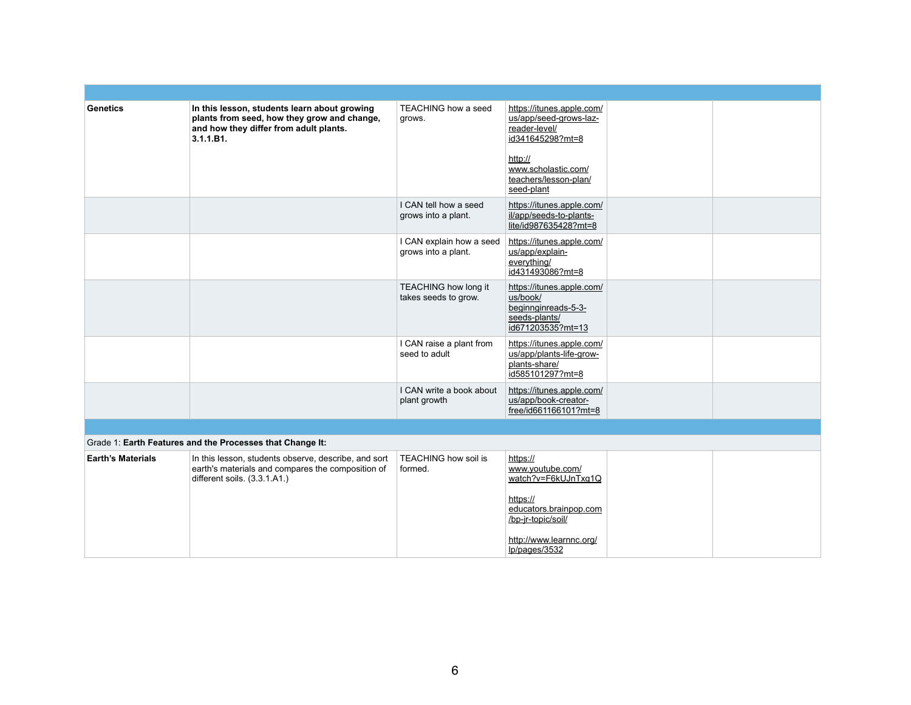| <b>Genetics</b>          | In this lesson, students learn about growing<br>plants from seed, how they grow and change,<br>and how they differ from adult plants.<br>3.1.1.B1. | <b>TEACHING how a seed</b><br>grows.                | https://itunes.apple.com/<br>us/app/seed-grows-laz-<br>reader-level/<br>id341645298?mt=8<br>http://<br>www.scholastic.com/<br>teachers/lesson-plan/<br>seed-plant |  |
|--------------------------|----------------------------------------------------------------------------------------------------------------------------------------------------|-----------------------------------------------------|-------------------------------------------------------------------------------------------------------------------------------------------------------------------|--|
|                          |                                                                                                                                                    | I CAN tell how a seed<br>grows into a plant.        | https://itunes.apple.com/<br>il/app/seeds-to-plants-<br>lite/id987635428?mt=8                                                                                     |  |
|                          |                                                                                                                                                    | I CAN explain how a seed<br>grows into a plant.     | https://itunes.apple.com/<br>us/app/explain-<br>everything/<br>id431493086?mt=8                                                                                   |  |
|                          |                                                                                                                                                    | <b>TEACHING how long it</b><br>takes seeds to grow. | https://itunes.apple.com/<br>us/book/<br>beginnginreads-5-3-<br>seeds-plants/<br>id671203535?mt=13                                                                |  |
|                          |                                                                                                                                                    | I CAN raise a plant from<br>seed to adult           | https://itunes.apple.com/<br>us/app/plants-life-grow-<br>plants-share/<br>id585101297?mt=8                                                                        |  |
|                          |                                                                                                                                                    | I CAN write a book about<br>plant growth            | https://itunes.apple.com/<br>us/app/book-creator-<br>free/id661166101?mt=8                                                                                        |  |
|                          |                                                                                                                                                    |                                                     |                                                                                                                                                                   |  |
|                          | Grade 1: Earth Features and the Processes that Change It:                                                                                          |                                                     |                                                                                                                                                                   |  |
| <b>Earth's Materials</b> | In this lesson, students observe, describe, and sort<br>earth's materials and compares the composition of<br>different soils. (3.3.1.A1.)          | <b>TEACHING how soil is</b><br>formed.              | https://<br>www.youtube.com/<br>watch?v=F6kUJnTxg1Q<br>https://<br>educators brainpop com<br>/bp-jr-topic/soil/<br>http://www.learnnc.org/<br>lp/pages/3532       |  |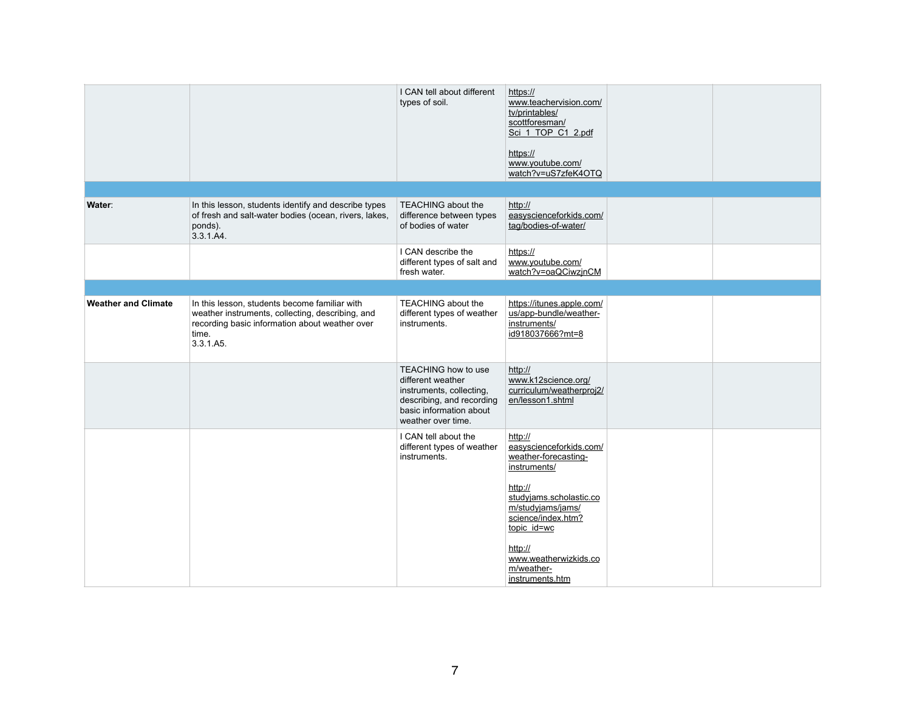|                            |                                                                                                                                                                           | I CAN tell about different<br>types of soil.                                                                                                              | https://<br>www.teachervision.com/<br>tv/printables/<br>scottforesman/<br>Sci_1_TOP_C1_2.pdf<br>https://<br>www.youtube.com/<br>watch?v=uS7zfeK4OTQ                                                                                             |  |
|----------------------------|---------------------------------------------------------------------------------------------------------------------------------------------------------------------------|-----------------------------------------------------------------------------------------------------------------------------------------------------------|-------------------------------------------------------------------------------------------------------------------------------------------------------------------------------------------------------------------------------------------------|--|
|                            |                                                                                                                                                                           |                                                                                                                                                           |                                                                                                                                                                                                                                                 |  |
| Water:                     | In this lesson, students identify and describe types<br>of fresh and salt-water bodies (ocean, rivers, lakes,<br>ponds).<br>3.3.1.A4.                                     | <b>TEACHING about the</b><br>difference between types<br>of bodies of water                                                                               | http://<br>easyscienceforkids.com/<br>tag/bodies-of-water/                                                                                                                                                                                      |  |
|                            |                                                                                                                                                                           | I CAN describe the<br>different types of salt and<br>fresh water.                                                                                         | https://<br>www.youtube.com/<br>watch?v=oaQCiwzjnCM                                                                                                                                                                                             |  |
|                            |                                                                                                                                                                           |                                                                                                                                                           |                                                                                                                                                                                                                                                 |  |
| <b>Weather and Climate</b> | In this lesson, students become familiar with<br>weather instruments, collecting, describing, and<br>recording basic information about weather over<br>time.<br>3.3.1.A5. | <b>TEACHING about the</b><br>different types of weather<br>instruments.                                                                                   | https://itunes.apple.com/<br>us/app-bundle/weather-<br>instruments/<br>id918037666?mt=8                                                                                                                                                         |  |
|                            |                                                                                                                                                                           | <b>TEACHING how to use</b><br>different weather<br>instruments, collecting,<br>describing, and recording<br>basic information about<br>weather over time. | http://<br>www.k12science.org/<br>curriculum/weatherproj2/<br>en/lesson1.shtml                                                                                                                                                                  |  |
|                            |                                                                                                                                                                           | I CAN tell about the<br>different types of weather<br>instruments.                                                                                        | http://<br>easyscienceforkids.com/<br>weather-forecasting-<br>instruments/<br>http://<br>studyjams.scholastic.co<br>m/studyjams/jams/<br>science/index.htm?<br>topic id=wc<br>http://<br>www.weatherwizkids.co<br>m/weather-<br>instruments.htm |  |